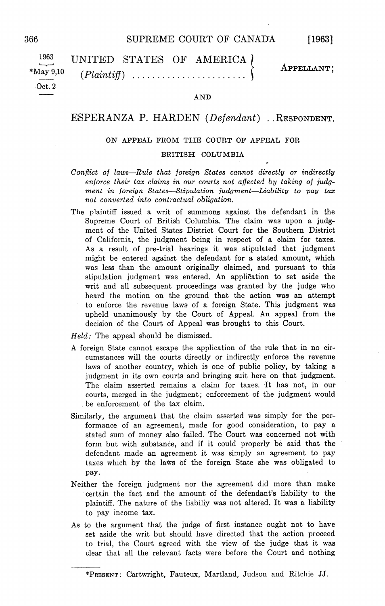| 1963  | UNITED STATES OF AMERICA) | APPELLANT; |
|-------|---------------------------|------------|
|       |                           |            |
| Oct.2 |                           |            |

## AND

## ESPERANZA P. HARDEN  $(Defendant)$ . RESPONDENT.

## ON APPEAL FROM THE COURT OF APPEAL FOR

## BRITISH COLUMBIA

- Conflict of laws-Rule that foreign States cannot directly or indirectly enforce their tax claims in our courts not affected by taking of judgment in foreign States-Stipulation judgment-Liability to pay tax not converted into contractual obligation
- The plaintiff issued a writ of summons against the defendant in the Supreme Court of British Columbia. The claim was upon a judgment of the United States District Court for the Southern District of California, the judgment being in respect of a claim for taxes. As a result of pre-trial hearings it was stipulated that judgment might be entered against the defendant for a stated amount, which was less than the amount originally claimed, and pursuant to this stipulation judgment was entered. An application to set aside the writ and all subsequent proceedings was granted by the judge who heard the motion on the ground that the action was an attempt to enforce the revenue laws of a foreign State. This judgment was upheld unanimously by the Court of Appeal An appeal from the decision of the Court of Appeal was brought to this Court

 $Held$ : The appeal should be dismissed.

- foreign State cannot escape the application of the rule that in no cir cumstances will the courts directly or indirectly enforce the revenue laws of another country, which is one of public policy, by taking a judgment in its own courts and bringing suit here on that judgment The claim asserted remains a claim for taxes. It has not, in our courts, merged in the judgment; enforcement of the judgment would be enforcement of the tax claim
- Similarly, the argument that the claim asserted was simply for the performance of an agreement, made for good consideration, to pay a stated sum of money also failed. The Court was concerned not with form but with substance, and if it could properly be said that the defendant made an agreement it was simply an agreement to pay taxes which by the laws of the foreign State she was obligated to pay
- Neither the foreign judgment nor the agreement did more than make certain the fact and the amount of the defendant's liability to the plaintiff. The nature of the liabiliy was not altered. It was a liability to pay income tax
- As to the argument that the judge of first instance ought not to have set aside the writ but should have directed that the action proceed to trial, the Court agreed with the view of the judge that it was clear that all the relevant facts were before the Court and nothing

<sup>\*</sup>PRESENT: Cartwright, Fauteux, Martland, Judson and Ritchie JJ.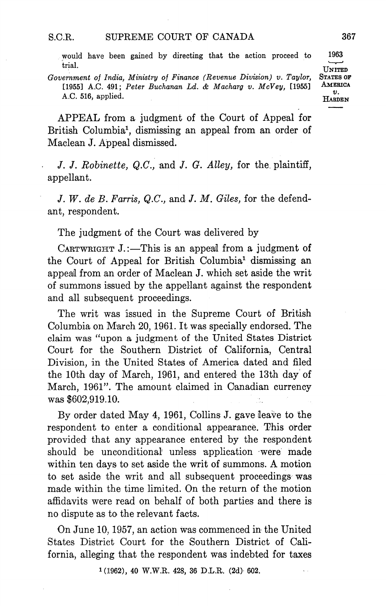would have been gained by directing that the action proceed to <sup>1963</sup> tria

Government of India, Ministry of Finance (Revenue Division) v. Taylor, STATES OF<br>[1955] A.C. 491: Peter Buchanan I.d. & Machana y. McVey [1955] AMERICA [1955] A.C. 491; Peter Buchanan Ld. & Macharg v. McVey, [1955] A.C. 516, applied. HARDEN

APPEAL from a judgment of the Court of Appeal for British Columbia<sup>1</sup>, dismissing an appeal from an order of Maclean J. Appeal dismissed.

J. J. Robinette,  $Q.C.,$  and J. G. Alley, for the plaintiff, appellant

J. W. de B. Farris,  $Q.C.$ , and J. M. Giles, for the defendant, respondent.

The judgment of the Court was delivered by

CARTWRIGHT  $J$ .:-This is an appeal from a judgment of the Court of Appeal for British Columbia<sup>1</sup> dismissing an appeal from an order of Maclean J. which set aside the writ of summons issued by the appellant against the respondent and all subsequent proceedings

The writ was issued in the Supreme Court of British Columbia on March 20, 1961. It was specially endorsed. The claim was "upon a judgment of the United States District Court for the Southern District of California, Central Division, in the United States of America dated and filed the 10th day of March, 1961, and entered the 13th day of March, 1961". The amount claimed in Canadian currency was \$602,919.10.

By order dated May 4, 1961, Collins J. gave leave to the respondent to enter a conditional appearance. This order provided that any appearance entered by the respondent should be unconditional unless application -were made within ten days to set aside the writ of summons. A motion to set aside the writ and all subsequent proceedings was made within the time limited. On the return of the motion affidavits were read on behalf of both parties and there is no dispute as to the relevant facts

On June 10, 1957, an action was commenced in the United States District Court for the Southern District of Cali fornia, alleging that the respondent was indebted for taxes

 $1(1962)$ , 40 W.W.R. 428, 36 D.L.R. (2d) 602.

UNITED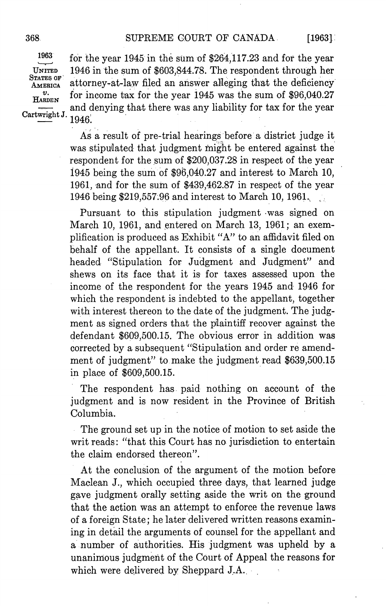$[1963]$ 

1963 STATES OF Cartwright J.

for the year 1945 in the sum of \$264,117.23 and for the year UNITED 1946 in the sum of  $$603,844.78$ . The respondent through her  $\frac{\text{STr} \text{TES OF}}{\text{AMERICA}}$  attorney-at-law filed an answer alleging that the deficiency  $\frac{v}{\text{H}_{\text{ARDEN}}}$  for income tax for the year 1945 was the sum of \$96,040.27 and denying that there was any liability for tax for the year 1946

> As a result of pre-trial hearings before a district judge it was stipuiated that judgment might be entered against the respondent for the sum of \$200,037.28 in respect of the year 1945 being the sum of  $$96,040.27$  and interest to March 10, 1961, and for the sum of \$439,462.87 in respect of the year 1946 being \$219,557.96 and interest to March 10, 1961.

> Pursuant to this stipulation judgment was signed on March 10, 1961, and entered on March 13, 1961; an exemplification is produced as Exhibit "A" to an affidavit filed on behalf of the appellant. It consists of a single document headed "Stipulation for Judgment and Judgment" and shews on its face that it is for taxes assessed upon the income of the respondent for the years 1945 and 1946 for which the respondent is indebted to the appellant, together with interest thereon to the date of the judgment. The judgment as signed orders that the plaintiff recover against the defendant \$609,500.15. The obvious error in addition was corrected by a subsequent "Stipulation and order re amendment of judgment" to make the judgment read  $$639,500.15$ in place of  $$609,500.15$ .

> The respondent has paid nothing on account of the judgment and is now resident in the Province of British Columbia

> The ground set up in the notice of motion to set aside the writ reads: "that this Court has no jurisdiction to entertain the claim endorsed thereon

> At the conclusion of the argument of the motion before Maclean J., which occupied three days, that learned judge gave judgment orally setting aside the writ on the ground that the action was an attempt to enforce the revenue laws of a foreign State; he later delivered written reasons examining in detail the arguments of counsel for the appellant and a number of authorities. His judgment was upheld by a unanimous judgment of the Court of Appeal the reasons for which were delivered by Sheppard J.A.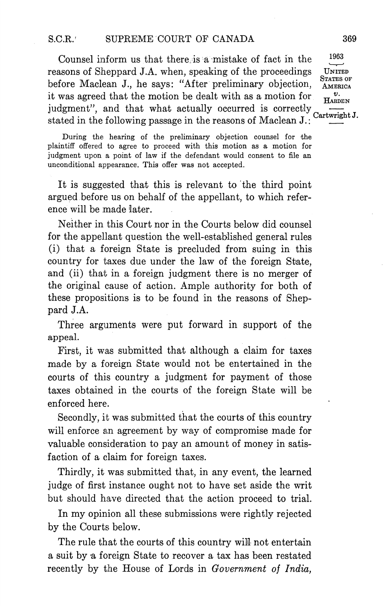Counsel inform us that there is a mistake of fact in the  $1963$ reasons of Sheppard J.A, when, speaking of the proceedings UNITED before Maclean J., he says: "After preliminary objection,  $_{\text{AMERICA}}^{\text{STATES OF}}$ it was agreed that the motion be dealt with as a motion for judgment", and that what actually occurred is correctly Cartwright stated in the following passage in the reasons of Maclean J.:

During the hearing of the preliminary objection counsel for the plaintiff offered to agree to proceed with this motion as motion for judgment upon a point of law if the defendant would consent to file an unconditional appearance. This offer was not accepted.

It is suggested that this is relevant to the third point argued before us on behalf of the appellant, to which reference will be made later

Neither in this Court nor in the Courts below did counsel for the appellant question the well-established general rules (i) that a foreign State is precluded from suing in this country for taxes due under the law of the foreign State and (ii) that in a foreign judgment there is no merger of the original cause of action Ample authority for both of these propositions is to be found in the reasons of Shep pard J.A

Three arguments were put forward in support of the appeal

First, it was submitted that although a claim for taxes made by a foreign State would not be entertained in the courts of this country a judgment for payment of those taxes obtained in the courts of the foreign State will be enforced here

Secondly, it was submitted that the courts of this country will enforce an agreement by way of compromise made for valuable consideration to pay an amount of money in satis faction of a claim for foreign taxes.

Thirdly, it was submitted that, in any event, the learned judge of first instance ought not to have set aside the writ but should have directed that the action proceed to trial

In my opinion all these submissions were rightly rejected by the Courts below

The rule that the courts of this country will not entertain a suit by a foreign State to recover a tax has been restated recently by the House of Lords in Government of India.

STATES OF  $\boldsymbol{\eta}$ **HARDEN**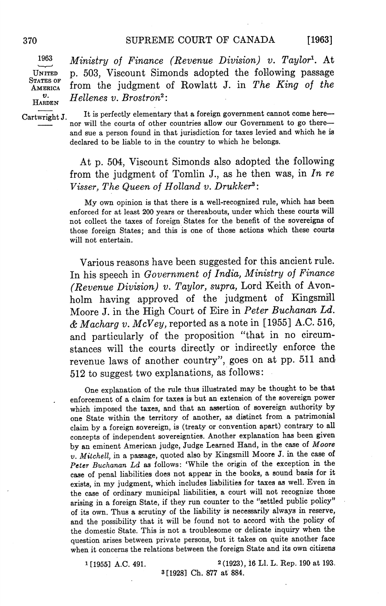$[1963]$ 

1963 STATES OF

Ministry of Finance (Revenue Division) v. Taylor<sup>1</sup>. At UNITED 503 Viscount Simonds adopted the following passage  $\frac{1}{2}$ AMERICA from the judgment of Rowlatt J. in The King of the  $v.$  Hellenes v. Brostron<sup>2</sup>:

Cartwright J. It is perfectly elementary that a foreign government cannot come herenor will the courts of other countries allow our Government to go there and sue a person found in that jurisdiction for taxes levied and which he is declared to be liable to in the country to which he belongs

> At p. 504, Viscount Simonds also adopted the following from the judgment of Tomlin J., as he then was, in In  $re$ Visser, The Queen of Holland v. Drukker<sup>3</sup>:

> My own opinion is that there is a well-recognized rule, which has been enforced for at least <sup>200</sup> years or thereabouts under which these courts will not collect the taxes of foreign States for the benefit of the sovereigns of those foreign States; and this is one of those actions which these courts will not entertain

> Various reasons have been suggested for this ancient rule In his speech in Government of India, Ministry of Finance (Revenue Division) v. Taylor, supra, Lord Keith of Avonholm having approved of the judgment of Kingsmill Moore J. in the High Court of Eire in Peter Buchanan Ld. & Macharg v. McVey, reported as a note in [1955] A.C. 516, and particularly of the proposition "that in no circumstances will the courts directly or indirectly enforce the revenue laws of another country", goes on at pp. 511 and 512 to suggest two explanations, as follows:

> One explanation of the rule thus illustrated may be thought to be that enforcement of a claim for taxes is but an extension of the sovereign power which imposed the taxes, and that an assertion of sovereign authority by one State within the territory of another, as distinct from a patrimonial claim by a foreign sovereign, is (treaty or convention apart) contrary to all concepts of independent sovereignties Another explanation has been given by an eminent American judge, Judge Learned Hand, in the case of Moore  $v.$  Mitchell, in a passage, quoted also by Kingsmill Moore J. in the case of Peter Buchanan Ld as follows: 'While the origin of the exception in the case of penal liabilities does not appear in the books, a sound basis for it exists, in my judgment, which includes liabilities for taxes as well. Even in the case of ordinary municipal liabilities, a court will not recognize those arising in a foreign State, if they run counter to the "settled public policy" of its own. Thus a scrutiny of the liability is necessarily always in reserve, and the possibility that it will be found not to accord with the policy of the domestic State. This is not a troublesome or delicate inquiry when the question arises between private persons, but it takes on quite another face when it concerns the relations between the foreign State and its own citizens

1 [1955] A.C. 491. 2(1923), 16 Ll. L. Rep. 190 at 193. 3[1928] Ch. 877 at 884.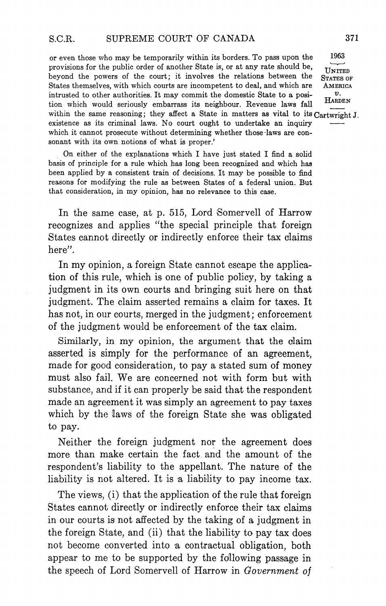or even those who may be temporarily within its borders To pass upon the <sup>1963</sup> provisions for the public order of another State is, or at any rate should be,<br>beyond the powers of the court; it involves the relations between the STATES OF beyond the powers of the court; it involves the relations between the States themselves, with which courts are incompetent to deal, and which are AMERICA intrusted to other authorities. It may commit the domestic State to a position which would seriously embarrass its neighbour. Revenue laws fall within the same reasoning; they affect a State in matters as vital to its Cartwright J. existence as its criminal laws No court ought to undertake an inquiry which it cannot prosecute without determining whether those laws are con sonant with its own notions of what is proper.'

On either of the explanations which I have just stated I find a solid basis of principle for a rule which has long been recognized and which has been applied by a consistent train of decisions. It may be possible to find reasons for modifying the rule as between States of a federal union. But that consideration, in my opinion, has no relevance to this case.

In the same case, at p. 515, Lord Somervell of Harrow recognizes and applies "the special principle that foreign States cannot directly or indirectly enforce their tax claims here".

In my opinion, a foreign State cannot escape the application of this rule, which is one of public policy, by taking a judgment in its own courts and bringing suit here on that judgment. The claim asserted remains a claim for taxes. It has not, in our courts, merged in the judgment; enforcement of the judgment would be enforcement of the tax claim

Similarly, in my opinion, the argument that the claim asserted is simply for the performance of an agreement made for good consideration, to pay a stated sum of money must also fail. We are concerned not with form but with substance, and if it can properly be said that the respondent made an agreement it was simply an agreement to pay taxes which by the laws of the foreign State she was obligated to pay

Neither the foreign judgment nor the agreement does more than make certain the fact and the amount of the respondent's liability to the appellant. The nature of the liability is not altered. It is a liability to pay income tax.

The views, (i) that the application of the rule that foreign States cannot directly or indirectly enforce their tax claims in our courts is not affected by the taking of a judgment in the foreign State, and (ii) that the liability to pay tax does not become converted into a contractual obligation, both appear to me to be supported by the following passage in the speech of Lord Somervell of Harrow in Government of

 $\boldsymbol{v}$ . **HARDEN**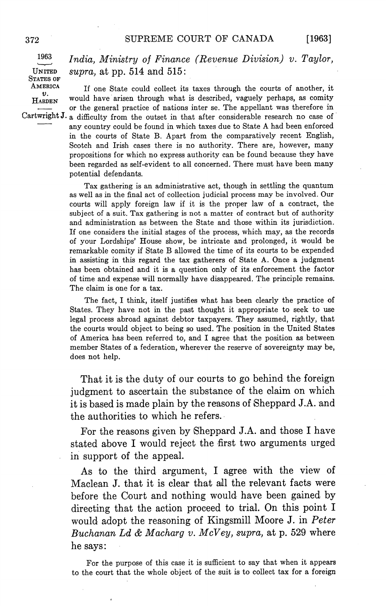$[1963]$ 

1963 STATES OF

India, Ministry of Finance (Revenue Division)  $v$ . Taylor, UNITED supra, at pp. 514 and 515:

AMERICA If one State could collect its taxes through the courts of another, it  $\frac{\partial f}{\partial x}$  $H_{ABDEN}$  would have arisen through what is described, vaguely perhaps, as comity or the general practice of nations inter se. The appellant was therefore in Cartwright J. a difficulty from the outset in that after considerable research no case of any country could be found in which taxes due to State A had been enforced in the courts of State B. Apart from the comparatively recent English, Scotch and Irish cases there is no authority. There are, however, many propositions for which no express authority can be found because they have been regarded as self-evident to all concerned. There must have been many potential defendants

> Tax gathering is an administrative act, though in settling the quantum as well as in the final act of collection judicial process may be involved. Our courts will apply foreign law if it is the proper law of a contract, the subject of a suit. Tax gathering is not a matter of contract but of authority and administration as between the State and those within its jurisdiction If one considers the initial stages of the process, which may, as the records of your Lordships' House show, be intricate and prolonged, it would be remarkable comity if State B allowed the time of its courts to be expended in assisting in this regard the tax gatherers of State A. Once a judgment has been obtained and it is a question only of its enforcement the factor of time and expense will normally have disappeared. The principle remains. The claim is one for a tax.

> The fact, I think, itself justifies what has been clearly the practice of States. They have not in the past thought it appropriate to seek to use legal process abroad against debtor taxpayers. They assumed, rightly, that the courts would object to being so used. The position in the United States of America has been referred to, and I agree that the position as between member States of a federation, wherever the reserve of sovereignty may be, does not help

> That it is the duty of our courts to go behind the foreign judgment to ascertain the substance of the claim on which it is based is made plain by the reasons of Sheppard J.A and the authorities to which he refers

> For the reasons given by Sheppard J.A. and those I have stated above I would reject the first two arguments urged in support of the appeal

> As to the third argument, I agree with the view of Maclean J. that it is clear that all the relevant facts were before the Court and nothing would have been gained by directing that the action proceed to trial. On this point I would adopt the reasoning of Kingsmill Moore J. in Peter Buchanan Ld & Macharg v. McVey, supra, at p. 529 where he says

> For the purpose of this case it is sufficient to say that when it appears to the court that the whole object of the suit is to collect tax for a foreign